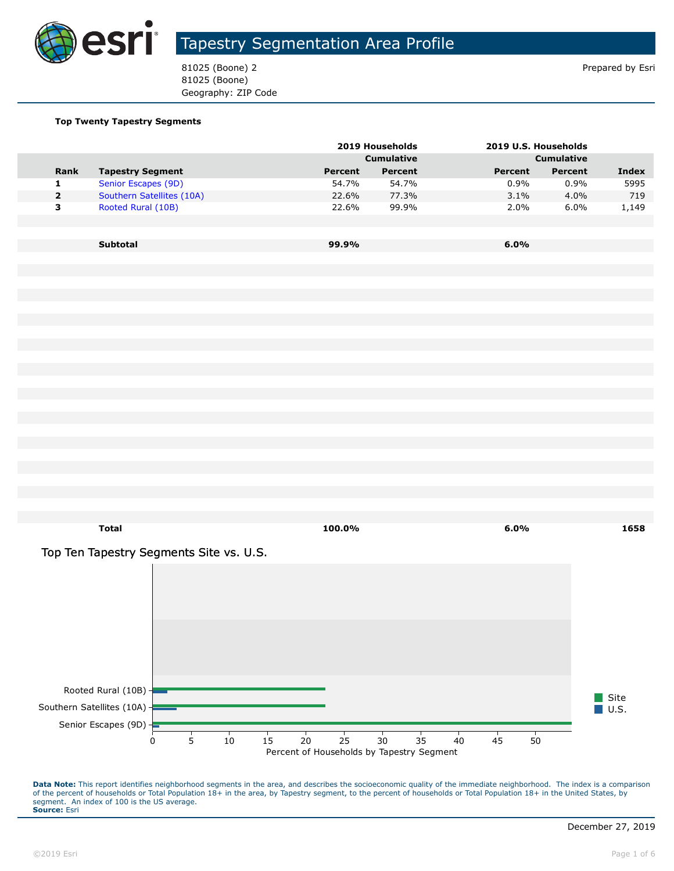

81025 (Boone) 2 Prepared by Esri 81025 (Boone) Geography: ZIP Code

#### **Top Twenty Tapestry Segments**

|                |                           |         | 2019 Households   |         | 2019 U.S. Households |              |
|----------------|---------------------------|---------|-------------------|---------|----------------------|--------------|
|                |                           |         | <b>Cumulative</b> |         | <b>Cumulative</b>    |              |
| <b>Rank</b>    | <b>Tapestry Segment</b>   | Percent | Percent           | Percent | Percent              | <b>Index</b> |
| 1              | Senior Escapes (9D)       | 54.7%   | 54.7%             | 0.9%    | 0.9%                 | 5995         |
| $\overline{2}$ | Southern Satellites (10A) | 22.6%   | 77.3%             | 3.1%    | 4.0%                 | 719          |
| 3              | Rooted Rural (10B)        | 22.6%   | 99.9%             | 2.0%    | 6.0%                 | 1,149        |
|                |                           |         |                   |         |                      |              |
|                |                           |         |                   |         |                      |              |
|                | <b>Subtotal</b>           | 99.9%   |                   | $6.0\%$ |                      |              |

Top Ten Tapestry Segments Site vs. U.S.



**Total 100.0% 6.0% 1658**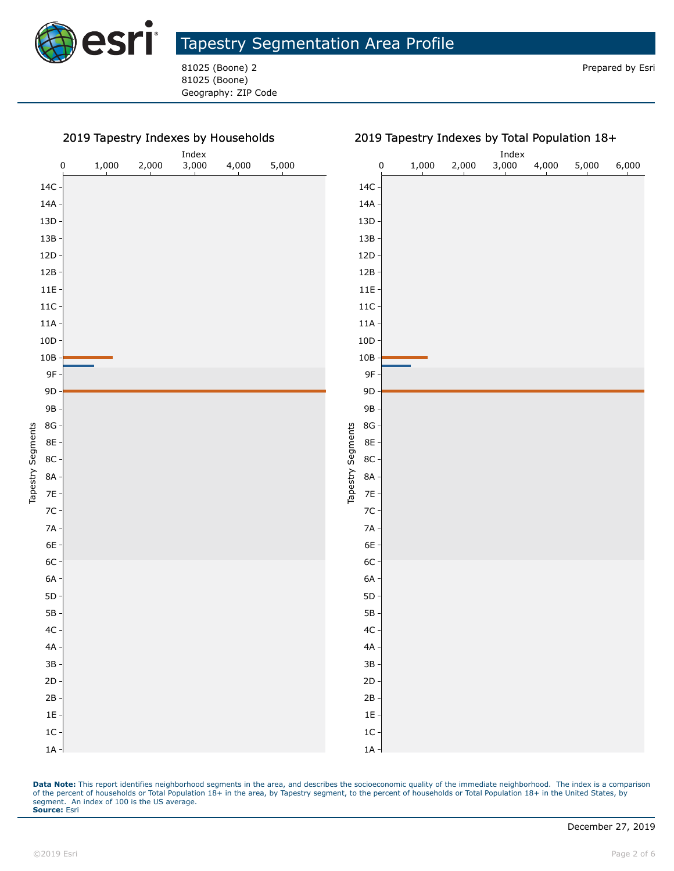

81025 (Boone) 2 Prepared by Esri 81025 (Boone) Geography: ZIP Code

#### 2019 Tapestry Indexes by Households

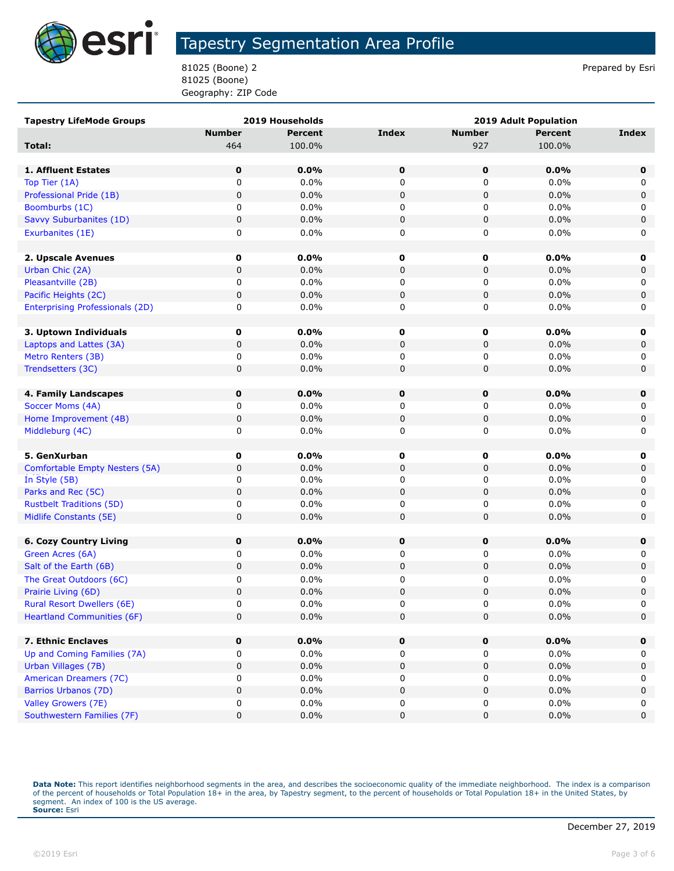

81025 (Boone) 2 Prepared by Esri 81025 (Boone) Geography: ZIP Code

| <b>Tapestry LifeMode Groups</b>                 |               | 2019 Households | <b>2019 Adult Population</b> |               |                |             |
|-------------------------------------------------|---------------|-----------------|------------------------------|---------------|----------------|-------------|
|                                                 | <b>Number</b> | <b>Percent</b>  | <b>Index</b>                 | <b>Number</b> | <b>Percent</b> | Index       |
| Total:                                          | 464           | 100.0%          |                              | 927           | 100.0%         |             |
|                                                 |               |                 |                              |               |                |             |
| 1. Affluent Estates                             | $\mathbf 0$   | 0.0%            | 0                            | $\mathbf 0$   | 0.0%           | $\mathbf 0$ |
| Top Tier (1A)                                   | 0             | 0.0%            | 0                            | 0             | 0.0%           | 0           |
| Professional Pride (1B)                         | 0             | 0.0%            | $\pmb{0}$                    | 0             | 0.0%           | 0           |
| Boomburbs (1C)                                  | 0             | $0.0\%$         | 0                            | 0             | 0.0%           | 0           |
| Savvy Suburbanites (1D)                         | 0             | 0.0%            | $\pmb{0}$                    | 0             | 0.0%           | $\pmb{0}$   |
| Exurbanites (1E)                                | 0             | 0.0%            | 0                            | 0             | 0.0%           | 0           |
|                                                 |               |                 |                              |               |                |             |
| 2. Upscale Avenues                              | 0             | $0.0\%$         | 0                            | 0             | 0.0%           | 0           |
| Urban Chic (2A)                                 | 0             | $0.0\%$         | $\pmb{0}$                    | 0             | 0.0%           | 0           |
| Pleasantville (2B)                              | 0             | 0.0%            | 0                            | 0             | 0.0%           | 0           |
| Pacific Heights (2C)                            | 0             | $0.0\%$         | $\pmb{0}$                    | 0             | 0.0%           | 0           |
| <b>Enterprising Professionals (2D)</b>          | 0             | 0.0%            | 0                            | 0             | 0.0%           | 0           |
|                                                 |               |                 |                              |               |                |             |
| 3. Uptown Individuals                           | $\mathbf 0$   | $0.0\%$         | 0                            | 0             | 0.0%           | 0           |
| Laptops and Lattes (3A)                         | 0             | 0.0%            | 0                            | 0             | 0.0%           | 0           |
| Metro Renters (3B)                              | 0             | 0.0%            | 0                            | 0             | 0.0%           | 0           |
| Trendsetters (3C)                               | 0             | 0.0%            | 0                            | 0             | 0.0%           | $\mathbf 0$ |
|                                                 |               |                 |                              |               |                |             |
| 4. Family Landscapes                            | 0             | 0.0%            | 0                            | 0             | 0.0%           | $\mathbf 0$ |
| Soccer Moms (4A)                                | 0             | 0.0%            | 0                            | 0             | 0.0%           | 0           |
| Home Improvement (4B)                           | 0             | $0.0\%$         | $\pmb{0}$                    | 0             | 0.0%           | 0           |
| Middleburg (4C)                                 | 0             | 0.0%            | 0                            | 0             | 0.0%           | 0           |
|                                                 |               |                 |                              |               |                |             |
| 5. GenXurban                                    | $\mathbf 0$   | 0.0%<br>0.0%    | 0<br>$\pmb{0}$               | 0             | 0.0%<br>0.0%   | 0           |
| Comfortable Empty Nesters (5A)<br>In Style (5B) | 0<br>0        | 0.0%            | 0                            | 0<br>0        | 0.0%           | 0<br>0      |
| Parks and Rec (5C)                              | 0             | 0.0%            | $\pmb{0}$                    | 0             | 0.0%           | 0           |
| <b>Rustbelt Traditions (5D)</b>                 | 0             | $0.0\%$         | 0                            | 0             | 0.0%           | 0           |
| Midlife Constants (5E)                          | 0             | 0.0%            | 0                            | 0             | 0.0%           | $\mathbf 0$ |
|                                                 |               |                 |                              |               |                |             |
| <b>6. Cozy Country Living</b>                   | 0             | 0.0%            | 0                            | 0             | 0.0%           | $\mathbf 0$ |
| Green Acres (6A)                                | 0             | 0.0%            | 0                            | 0             | 0.0%           | 0           |
| Salt of the Earth (6B)                          | 0             | 0.0%            | $\pmb{0}$                    | 0             | 0.0%           | 0           |
| The Great Outdoors (6C)                         | 0             | 0.0%            | 0                            | 0             | 0.0%           | 0           |
| Prairie Living (6D)                             | 0             | 0.0%            | $\pmb{0}$                    | 0             | 0.0%           | $\pmb{0}$   |
| Rural Resort Dwellers (6E)                      | 0             | $0.0\%$         | $\Omega$                     | 0             | 0.0%           | 0           |
| <b>Heartland Communities (6F)</b>               | 0             | 0.0%            | $\pmb{0}$                    | 0             | 0.0%           | 0           |
|                                                 |               |                 |                              |               |                |             |
| 7. Ethnic Enclaves                              | $\mathbf 0$   | $0.0\%$         | $\mathbf 0$                  | $\mathbf 0$   | 0.0%           | $\mathbf 0$ |
| Up and Coming Families (7A)                     | 0             | $0.0\%$         | 0                            | 0             | $0.0\%$        | 0           |
| Urban Villages (7B)                             | 0             | 0.0%            | 0                            | 0             | 0.0%           | 0           |
| American Dreamers (7C)                          | 0             | 0.0%            | 0                            | 0             | 0.0%           | 0           |
| Barrios Urbanos (7D)                            | 0             | 0.0%            | $\pmb{0}$                    | 0             | 0.0%           | 0           |
| Valley Growers (7E)                             | 0             | $0.0\%$         | 0                            | 0             | $0.0\%$        | 0           |
| Southwestern Families (7F)                      | 0             | 0.0%            | 0                            | 0             | 0.0%           | 0           |
|                                                 |               |                 |                              |               |                |             |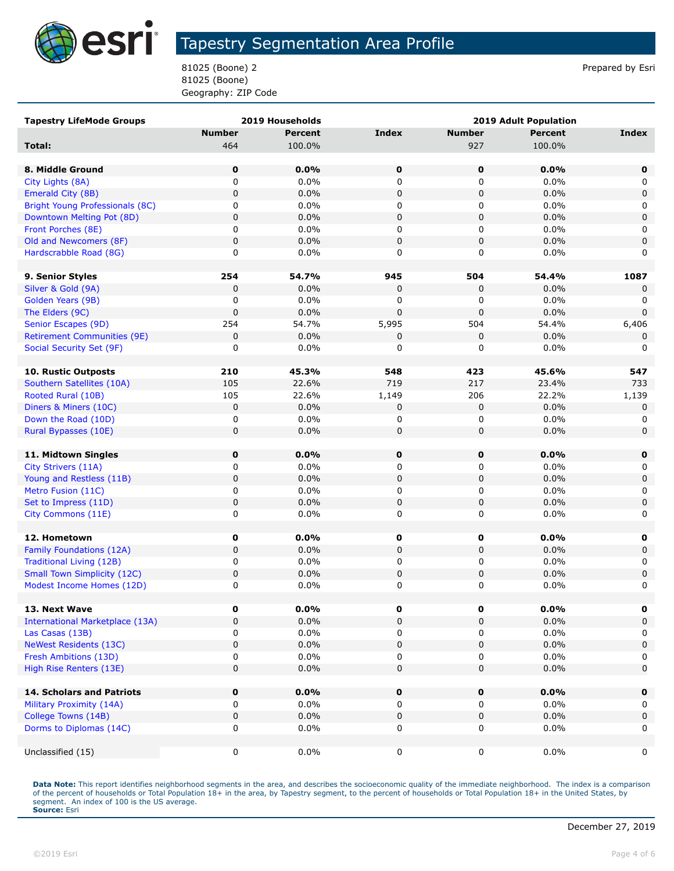

81025 (Boone) 2 Prepared by Esri 81025 (Boone) Geography: ZIP Code

| <b>Tapestry LifeMode Groups</b>        |               | <b>2019 Households</b> |                  | <b>2019 Adult Population</b> |                |              |
|----------------------------------------|---------------|------------------------|------------------|------------------------------|----------------|--------------|
|                                        | <b>Number</b> | <b>Percent</b>         | <b>Index</b>     | <b>Number</b>                | <b>Percent</b> | <b>Index</b> |
| Total:                                 | 464           | 100.0%                 |                  | 927                          | 100.0%         |              |
|                                        |               |                        |                  |                              |                |              |
| 8. Middle Ground                       | 0             | 0.0%                   | 0                | $\mathbf 0$                  | 0.0%           | 0            |
| City Lights (8A)                       | 0             | 0.0%                   | 0                | 0                            | 0.0%           | 0            |
| Emerald City (8B)                      | $\pmb{0}$     | 0.0%                   | $\mathbf 0$      | 0                            | 0.0%           | 0            |
| Bright Young Professionals (8C)        | 0             | 0.0%                   | 0                | 0                            | 0.0%           | 0            |
| Downtown Melting Pot (8D)              | $\mathbf 0$   | 0.0%                   | $\pmb{0}$        | 0                            | 0.0%           | 0            |
| Front Porches (8E)                     | 0             | 0.0%                   | 0                | 0                            | 0.0%           | 0            |
| Old and Newcomers (8F)                 | $\pmb{0}$     | 0.0%                   | $\mathbf 0$      | 0                            | 0.0%           | $\mathbf 0$  |
| Hardscrabble Road (8G)                 | 0             | 0.0%                   | 0                | 0                            | 0.0%           | 0            |
|                                        |               |                        |                  |                              |                |              |
| 9. Senior Styles                       | 254           | 54.7%                  | 945              | 504                          | 54.4%          | 1087         |
| Silver & Gold (9A)                     | 0             | 0.0%                   | 0                | 0                            | 0.0%           | 0            |
| Golden Years (9B)                      | $\mathbf 0$   | 0.0%                   | 0                | 0                            | 0.0%           | 0            |
| The Elders (9C)                        | $\mathbf 0$   | 0.0%                   | $\Omega$         | $\pmb{0}$                    | 0.0%           | $\mathbf 0$  |
| Senior Escapes (9D)                    | 254           | 54.7%                  | 5,995            | 504                          | 54.4%          | 6,406        |
| <b>Retirement Communities (9E)</b>     | 0             | 0.0%                   | 0                | 0                            | 0.0%           | 0            |
| Social Security Set (9F)               | 0             | 0.0%                   | 0                | 0                            | 0.0%           | 0            |
|                                        |               |                        |                  |                              |                |              |
| 10. Rustic Outposts                    | 210           | 45.3%                  | 548              | 423                          | 45.6%          | 547          |
| Southern Satellites (10A)              | 105           | 22.6%                  | 719              | 217                          | 23.4%          | 733          |
| Rooted Rural (10B)                     | 105           | 22.6%                  | 1,149            | 206                          | 22.2%          | 1,139        |
| Diners & Miners (10C)                  | $\pmb{0}$     | 0.0%                   | 0                | 0                            | 0.0%           | 0            |
| Down the Road (10D)                    | 0             | 0.0%                   | 0                | 0                            | 0.0%           | 0            |
| Rural Bypasses (10E)                   | 0             | 0.0%                   | $\mathbf 0$      | 0                            | 0.0%           | $\mathbf 0$  |
|                                        |               |                        |                  |                              |                |              |
| 11. Midtown Singles                    | 0             | 0.0%                   | 0                | $\mathbf 0$                  | 0.0%           | $\mathbf 0$  |
| City Strivers (11A)                    | 0             | 0.0%                   | 0                | 0                            | 0.0%           | 0            |
| Young and Restless (11B)               | 0             | 0.0%                   | $\pmb{0}$        | 0                            | 0.0%           | $\mathsf 0$  |
| Metro Fusion (11C)                     | 0             | 0.0%                   | 0                | 0                            | 0.0%           | 0            |
| Set to Impress (11D)                   | $\pmb{0}$     | 0.0%                   | $\pmb{0}$        | 0                            | 0.0%           | $\mathbf 0$  |
| City Commons (11E)                     | 0             | 0.0%                   | 0                | 0                            | 0.0%           | 0            |
| 12. Hometown                           | 0             | 0.0%                   |                  | $\mathbf 0$                  | $0.0\%$        |              |
| Family Foundations (12A)               | $\pmb{0}$     | 0.0%                   | 0<br>$\mathbf 0$ | 0                            | 0.0%           | 0<br>0       |
| <b>Traditional Living (12B)</b>        | 0             | 0.0%                   | 0                |                              | 0.0%           | 0            |
| <b>Small Town Simplicity (12C)</b>     | 0             | 0.0%                   |                  | 0                            | 0.0%           | $\mathbf 0$  |
| Modest Income Homes (12D)              | 0             | 0.0%                   | $\pmb{0}$<br>0   | 0<br>0                       | 0.0%           | 0            |
|                                        |               |                        |                  |                              |                |              |
| 13. Next Wave                          | 0             | $0.0\%$                | 0                | 0                            | 0.0%           | 0            |
| <b>International Marketplace (13A)</b> | 0             | 0.0%                   | $\pmb{0}$        | 0                            | 0.0%           | 0            |
| Las Casas (13B)                        | 0             | 0.0%                   | 0                | 0                            | $0.0\%$        | 0            |
| <b>NeWest Residents (13C)</b>          | 0             | 0.0%                   | $\pmb{0}$        | 0                            | 0.0%           | $\mathbf 0$  |
| Fresh Ambitions (13D)                  | 0             | 0.0%                   | 0                | 0                            | 0.0%           | 0            |
| High Rise Renters (13E)                | $\mathbf 0$   | 0.0%                   | 0                | 0                            | 0.0%           | 0            |
|                                        |               |                        |                  |                              |                |              |
| <b>14. Scholars and Patriots</b>       | 0             | 0.0%                   | $\pmb{0}$        | $\pmb{0}$                    | 0.0%           | $\mathbf 0$  |
| Military Proximity (14A)               | 0             | 0.0%                   | 0                | 0                            | $0.0\%$        | 0            |
| College Towns (14B)                    | 0             | 0.0%                   | $\pmb{0}$        | 0                            | 0.0%           | $\mathbf 0$  |
| Dorms to Diplomas (14C)                | 0             | 0.0%                   | 0                | 0                            | $0.0\%$        | 0            |
|                                        |               |                        |                  |                              |                |              |
| Unclassified (15)                      | 0             | 0.0%                   | 0                | 0                            | $0.0\%$        | 0            |
|                                        |               |                        |                  |                              |                |              |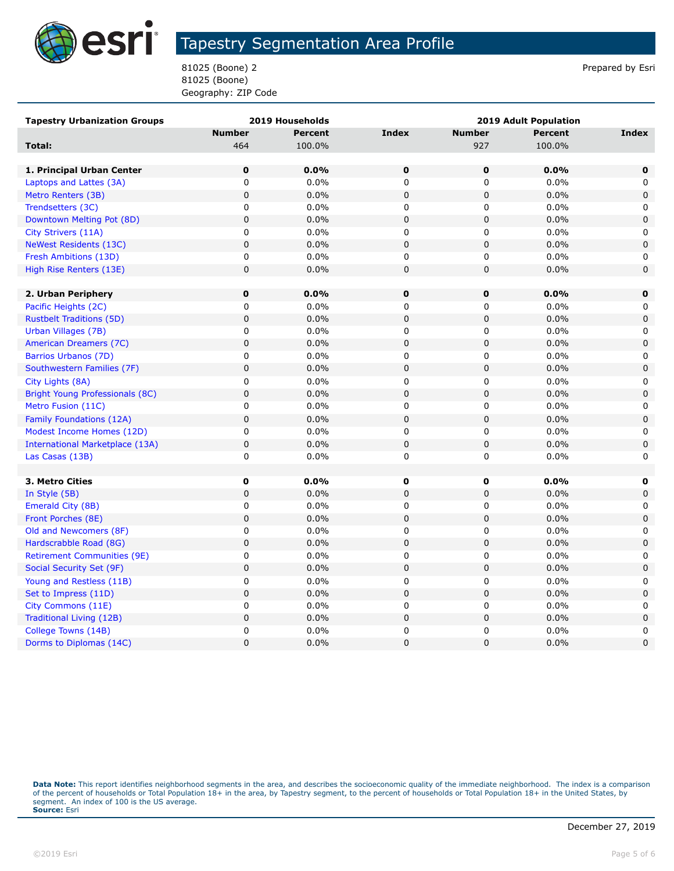

81025 (Boone) 2 Prepared by Esri 81025 (Boone) Geography: ZIP Code

| <b>Tapestry Urbanization Groups</b> |               | 2019 Households | 2019 Adult Population |               |                |             |
|-------------------------------------|---------------|-----------------|-----------------------|---------------|----------------|-------------|
|                                     | <b>Number</b> | <b>Percent</b>  | <b>Index</b>          | <b>Number</b> | <b>Percent</b> | Index       |
| Total:                              | 464           | 100.0%          |                       | 927           | 100.0%         |             |
|                                     |               |                 |                       |               |                |             |
| 1. Principal Urban Center           | $\mathbf 0$   | 0.0%            | 0                     | 0             | 0.0%           | 0           |
| Laptops and Lattes (3A)             | $\mathbf 0$   | 0.0%            | $\mathbf 0$           | $\mathbf 0$   | 0.0%           | 0           |
| Metro Renters (3B)                  | $\pmb{0}$     | 0.0%            | $\mathbf 0$           | 0             | 0.0%           | $\mathbf 0$ |
| Trendsetters (3C)                   | 0             | $0.0\%$         | 0                     | 0             | 0.0%           | 0           |
| Downtown Melting Pot (8D)           | $\mathbf 0$   | 0.0%            | $\mathbf 0$           | 0             | 0.0%           | $\mathbf 0$ |
| City Strivers (11A)                 | $\pmb{0}$     | 0.0%            | $\mathbf 0$           | 0             | 0.0%           | 0           |
| <b>NeWest Residents (13C)</b>       | $\mathbf 0$   | 0.0%            | $\mathbf 0$           | 0             | 0.0%           | $\mathbf 0$ |
| Fresh Ambitions (13D)               | 0             | 0.0%            | 0                     | 0             | 0.0%           | 0           |
| High Rise Renters (13E)             | $\mathsf 0$   | 0.0%            | $\mathbf 0$           | $\mathbf 0$   | 0.0%           | $\mathsf 0$ |
|                                     |               |                 |                       |               |                |             |
| 2. Urban Periphery                  | $\mathbf 0$   | 0.0%            | $\mathbf 0$           | 0             | $0.0\%$        | 0           |
| Pacific Heights (2C)                | $\pmb{0}$     | 0.0%            | 0                     | 0             | 0.0%           | 0           |
| <b>Rustbelt Traditions (5D)</b>     | $\mathbf 0$   | 0.0%            | $\mathbf 0$           | $\pmb{0}$     | 0.0%           | $\mathsf 0$ |
| Urban Villages (7B)                 | $\mathbf 0$   | 0.0%            | $\mathbf 0$           | 0             | 0.0%           | $\mathbf 0$ |
| American Dreamers (7C)              | $\pmb{0}$     | 0.0%            | $\mathbf 0$           | $\pmb{0}$     | 0.0%           | $\mathbf 0$ |
| Barrios Urbanos (7D)                | 0             | $0.0\%$         | 0                     | 0             | 0.0%           | 0           |
| Southwestern Families (7F)          | $\mathbf 0$   | 0.0%            | $\mathbf 0$           | $\pmb{0}$     | 0.0%           | $\mathbf 0$ |
| City Lights (8A)                    | $\pmb{0}$     | 0.0%            | 0                     | 0             | 0.0%           | 0           |
| Bright Young Professionals (8C)     | $\mathbf 0$   | 0.0%            | $\mathbf 0$           | 0             | 0.0%           | $\mathbf 0$ |
| Metro Fusion (11C)                  | $\pmb{0}$     | 0.0%            | $\pmb{0}$             | $\mathbf 0$   | 0.0%           | 0           |
| Family Foundations (12A)            | $\mathsf 0$   | 0.0%            | $\mathbf 0$           | $\mathbf 0$   | 0.0%           | $\mathbf 0$ |
| Modest Income Homes (12D)           | $\mathbf 0$   | 0.0%            | $\mathbf 0$           | 0             | 0.0%           | 0           |
| International Marketplace (13A)     | $\mathbf 0$   | 0.0%            | $\pmb{0}$             | 0             | 0.0%           | $\mathsf 0$ |
| Las Casas (13B)                     | 0             | $0.0\%$         | 0                     | 0             | 0.0%           | 0           |
|                                     |               |                 |                       |               |                |             |
| 3. Metro Cities                     | 0             | 0.0%            | $\mathbf 0$           | 0             | 0.0%           | $\mathbf 0$ |
| In Style (5B)                       | $\mathbf 0$   | 0.0%            | $\mathbf 0$           | 0             | 0.0%           | $\mathbf 0$ |
| Emerald City (8B)                   | 0             | 0.0%            | 0                     | 0             | 0.0%           | 0           |
| Front Porches (8E)                  | $\mathsf 0$   | 0.0%            | $\pmb{0}$             | $\pmb{0}$     | 0.0%           | $\mathbf 0$ |
| Old and Newcomers (8F)              | 0             | 0.0%            | 0                     | 0             | 0.0%           | 0           |
| Hardscrabble Road (8G)              | $\pmb{0}$     | 0.0%            | $\mathbf 0$           | 0             | 0.0%           | $\mathbf 0$ |
| <b>Retirement Communities (9E)</b>  | 0             | 0.0%            | 0                     | 0             | 0.0%           | 0           |
| Social Security Set (9F)            | 0             | 0.0%            | $\mathbf 0$           | 0             | 0.0%           | $\mathbf 0$ |
| Young and Restless (11B)            | 0             | 0.0%            | 0                     | $\mathbf 0$   | 0.0%           | 0           |
| Set to Impress (11D)                | $\pmb{0}$     | 0.0%            | $\pmb{0}$             | $\pmb{0}$     | 0.0%           | $\mathbf 0$ |
| City Commons (11E)                  | 0             | 0.0%            | 0                     | 0             | 0.0%           | 0           |
| Traditional Living (12B)            | $\mathbf 0$   | 0.0%            | $\mathbf 0$           | 0             | 0.0%           | $\mathbf 0$ |
| College Towns (14B)                 | $\mathbf 0$   | 0.0%            | $\mathbf 0$           | 0             | 0.0%           | 0           |
| Dorms to Diplomas (14C)             | 0             | 0.0%            | $\mathbf 0$           | 0             | 0.0%           | $\mathbf 0$ |